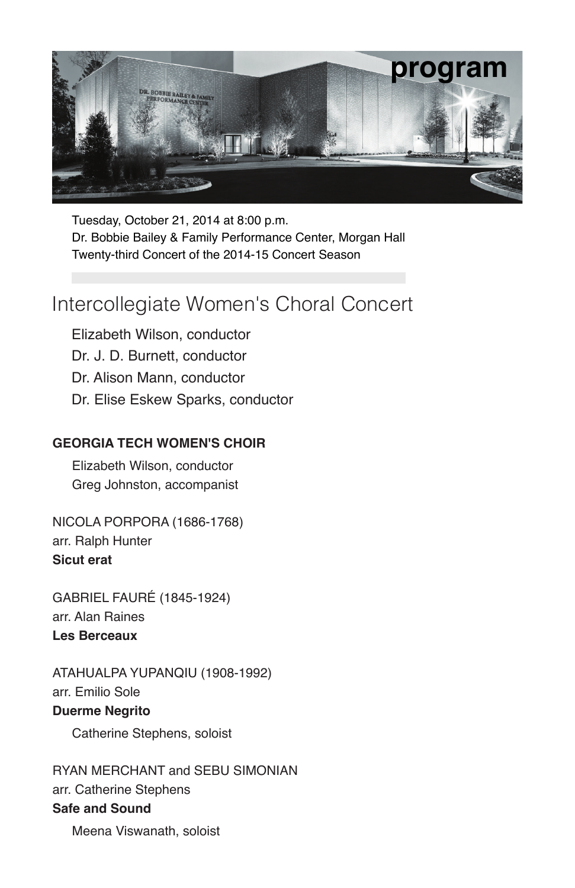

Tuesday, October 21, 2014 at 8:00 p.m. Dr. Bobbie Bailey & Family Performance Center, Morgan Hall Twenty-third Concert of the 2014-15 Concert Season

### Intercollegiate Women's Choral Concert

Elizabeth Wilson, conductor Dr. J. D. Burnett, conductor Dr. Alison Mann, conductor Dr. Elise Eskew Sparks, conductor

#### **GEORGIA TECH WOMEN'S CHOIR**

Elizabeth Wilson, conductor Greg Johnston, accompanist

NICOLA PORPORA (1686-1768) arr. Ralph Hunter **Sicut erat**

GABRIEL FAURÉ (1845-1924) arr. Alan Raines **Les Berceaux**

ATAHUALPA YUPANQIU (1908-1992) arr. Emilio Sole **Duerme Negrito**

Catherine Stephens, soloist

RYAN MERCHANT and SEBU SIMONIAN arr. Catherine Stephens **Safe and Sound**

Meena Viswanath, soloist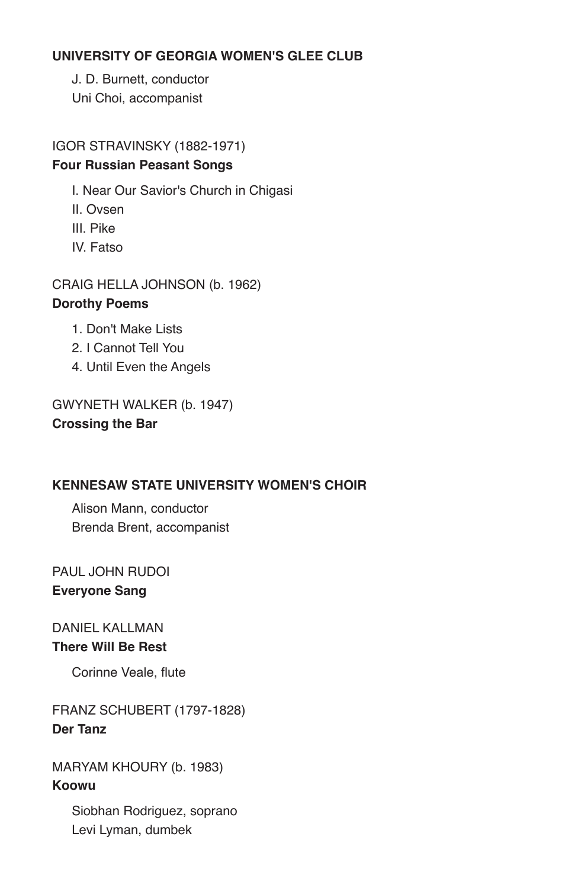#### **UNIVERSITY OF GEORGIA WOMEN'S GLEE CLUB**

J. D. Burnett, conductor Uni Choi, accompanist

IGOR STRAVINSKY (1882-1971) **Four Russian Peasant Songs**

I. Near Our Savior's Church in Chigasi

- II. Ovsen
- III. Pike
- IV. Fatso

CRAIG HELLA JOHNSON (b. 1962) **Dorothy Poems**

- 1. Don't Make Lists
- 2. I Cannot Tell You
- 4. Until Even the Angels

GWYNETH WALKER (b. 1947) **Crossing the Bar**

#### **KENNESAW STATE UNIVERSITY WOMEN'S CHOIR**

Alison Mann, conductor Brenda Brent, accompanist

PAUL JOHN RUDOI **Everyone Sang**

#### DANIEL KALLMAN **There Will Be Rest**

Corinne Veale, flute

FRANZ SCHUBERT (1797-1828) **Der Tanz**

MARYAM KHOURY (b. 1983) **Koowu**

> Siobhan Rodriguez, soprano Levi Lyman, dumbek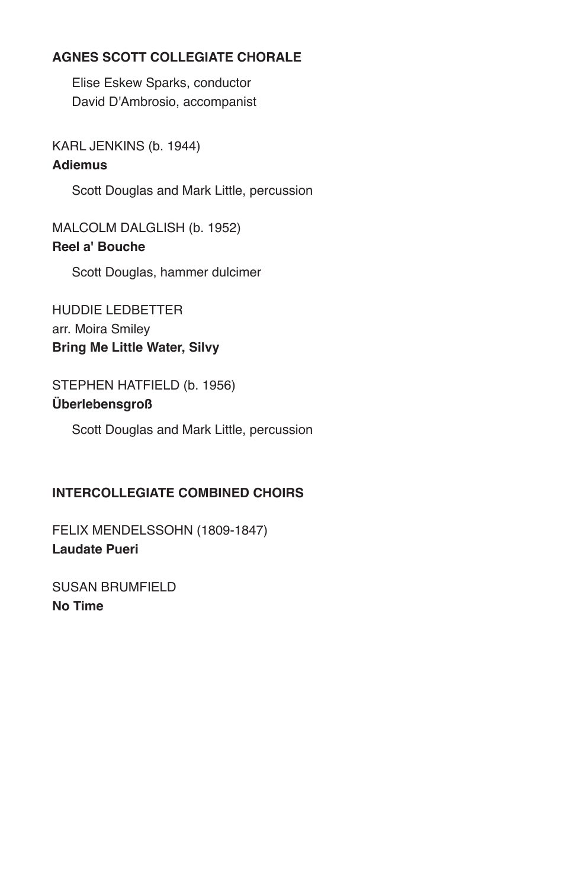#### **AGNES SCOTT COLLEGIATE CHORALE**

Elise Eskew Sparks, conductor David D'Ambrosio, accompanist

KARL JENKINS (b. 1944)

#### **Adiemus**

Scott Douglas and Mark Little, percussion

MALCOLM DALGLISH (b. 1952) **Reel a' Bouche**

Scott Douglas, hammer dulcimer

HUDDIE LEDBETTER arr. Moira Smiley **Bring Me Little Water, Silvy**

### STEPHEN HATFIELD (b. 1956)

#### **Überlebensgroß**

Scott Douglas and Mark Little, percussion

#### **INTERCOLLEGIATE COMBINED CHOIRS**

FELIX MENDELSSOHN (1809-1847) **Laudate Pueri**

SUSAN BRUMFIELD **No Time**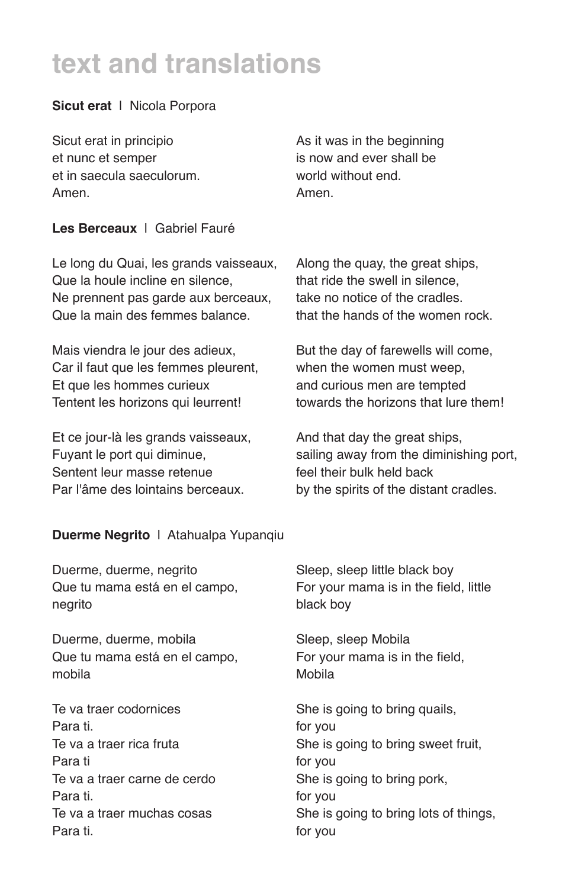# **text and translations**

#### **Sicut erat** | Nicola Porpora

Sicut erat in principio et nunc et semper et in saecula saeculorum. Amen.

As it was in the beginning is now and ever shall be world without end. Amen.

#### **Les Berceaux** | Gabriel Fauré

Le long du Quai, les grands vaisseaux, Que la houle incline en silence, Ne prennent pas garde aux berceaux, Que la main des femmes balance.

Mais viendra le jour des adieux, Car il faut que les femmes pleurent, Et que les hommes curieux Tentent les horizons qui leurrent!

Et ce jour-là les grands vaisseaux, Fuvant le port qui diminue. Sentent leur masse retenue Par l'âme des lointains berceaux.

Along the quay, the great ships, that ride the swell in silence, take no notice of the cradles. that the hands of the women rock.

But the day of farewells will come, when the women must weep, and curious men are tempted towards the horizons that lure them!

And that day the great ships, sailing away from the diminishing port. feel their bulk held back by the spirits of the distant cradles.

#### **Duerme Negrito** | Atahualpa Yupanqiu

Duerme, duerme, negrito Que tu mama está en el campo, negrito

Duerme, duerme, mobila Que tu mama está en el campo, mobila

Te va traer codornices Para ti. Te va a traer rica fruta Para ti Te va a traer carne de cerdo Para ti. Te va a traer muchas cosas Para ti.

Sleep, sleep little black boy For your mama is in the field, little black boy

Sleep, sleep Mobila For your mama is in the field, Mobila

She is going to bring quails, for you She is going to bring sweet fruit, for you She is going to bring pork, for you She is going to bring lots of things, for you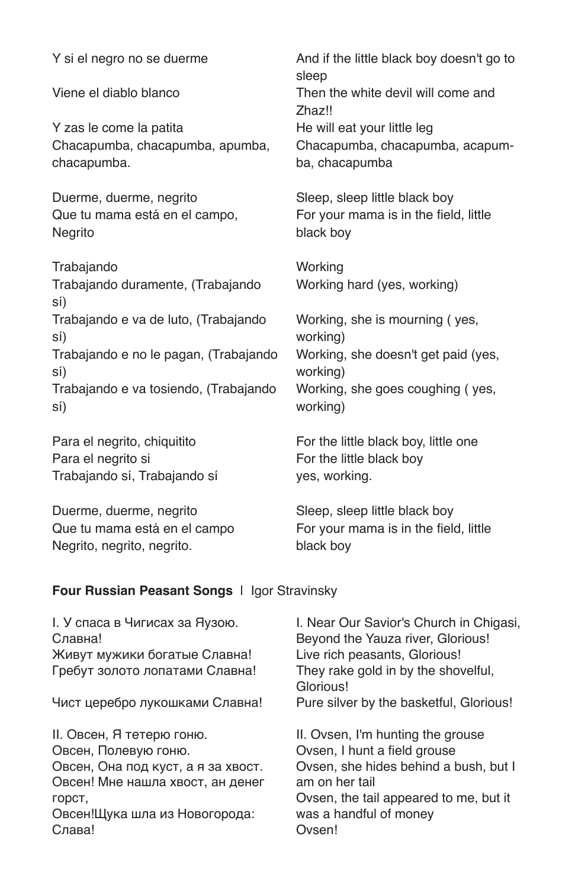Y si el negro no se duerme

Viene el diablo blanco

Y zas le come la patita Chacapumba, chacapumba, apumba, chacapumba.

Duerme, duerme, negrito Que tu mama está en el campo, **Negrito** 

Trabajando Trabajando duramente, (Trabajando sí) Trabajando e va de luto, (Trabajando sí) Trabajando e no le pagan, (Trabajando sí) Trabajando e va tosiendo, (Trabajando sí)

Para el negrito, chiquitito Para el negrito si Trabajando sí, Trabajando sí

Duerme, duerme, negrito Que tu mama está en el campo Negrito, negrito, negrito.

And if the little black boy doesn't go to sleep Then the white devil will come and Zhaz!! He will eat your little leg Chacapumba, chacapumba, acapumba, chacapumba

Sleep, sleep little black boy For your mama is in the field, little black boy

**Working** Working hard (yes, working)

Working, she is mourning ( yes, working) Working, she doesn't get paid (yes, working) Working, she goes coughing ( yes, working)

For the little black boy, little one For the little black boy yes, working.

Sleep, sleep little black boy For your mama is in the field, little black boy

#### **Four Russian Peasant Songs** | Igor Stravinsky

I. У спаса в Чигисах за Яузою. Славна! Живут мужики богатые Славна! Гребут золото лопатами Славна!

Чист церебро лукошками Славна!

II. Овсен, Я тетерю гоню. Овсен, Полевую гоню. Овсен, Она под куст, а я за хвост. Овсен! Мне нашла хвост, ан денег горст, Овсен!Щука шла из Новогорода: Слава!

I. Near Our Savior's Church in Chigasi, Beyond the Yauza river, Glorious! Live rich peasants, Glorious! They rake gold in by the shovelful, Glorious! Pure silver by the basketful, Glorious!

II. Ovsen, I'm hunting the grouse Ovsen, I hunt a field grouse Ovsen, she hides behind a bush, but I am on her tail Ovsen, the tail appeared to me, but it was a handful of money Ovsen!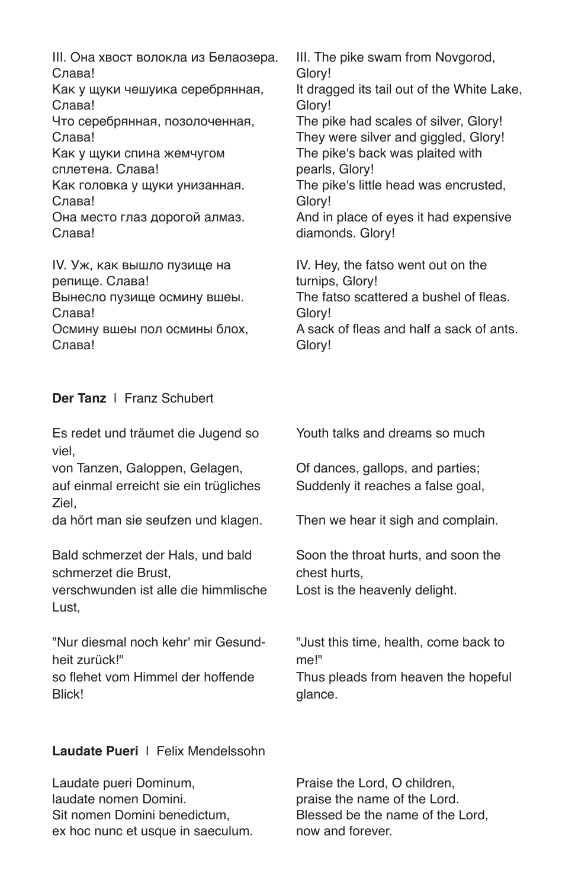III. Она хвост волокла из Белаозера. Слава! Как у щуки чешуика серебрянная, Слава! Что серебрянная, позолоченная, Слава! Как у щуки спина жемчугом сплетена. Слава! Как головка у щуки унизанная. Слава! Она место глаз дорогой алмаз. Слава!

IV. Уж, как вышло пузище на репище. Слава! Вынесло пузище осмину вшеы. Слава! Осмину вшеы пол осмины блох, III. The pike swam from Novgorod, Glory! It dragged its tail out of the White Lake, Glory! The pike had scales of silver, Glory! They were silver and giggled, Glory! The pike's back was plaited with pearls, Glory! The pike's little head was encrusted, Glory! And in place of eyes it had expensive diamonds. Glory! IV. Hey, the fatso went out on the

turnips, Glory! The fatso scattered a bushel of fleas. Glory! A sack of fleas and half a sack of ants. Glory!

#### **Der Tanz** | Franz Schubert

Слава!

Es redet und träumet die Jugend so viel,

von Tanzen, Galoppen, Gelagen, auf einmal erreicht sie ein trügliches Ziel,

da hört man sie seufzen und klagen.

Bald schmerzet der Hals, und bald schmerzet die Brust,

verschwunden ist alle die himmlische Lust,

"Nur diesmal noch kehr' mir Gesundheit zurück!" so flehet vom Himmel der hoffende Blick!

**Laudate Pueri** | Felix Mendelssohn

Laudate pueri Dominum, laudate nomen Domini. Sit nomen Domini benedictum, ex hoc nunc et usque in saeculum. Youth talks and dreams so much

Of dances, gallops, and parties; Suddenly it reaches a false goal,

Then we hear it sigh and complain.

Soon the throat hurts, and soon the chest hurts, Lost is the heavenly delight.

"Just this time, health, come back to me!"

Thus pleads from heaven the hopeful glance.

Praise the Lord, O children, praise the name of the Lord. Blessed be the name of the Lord, now and forever.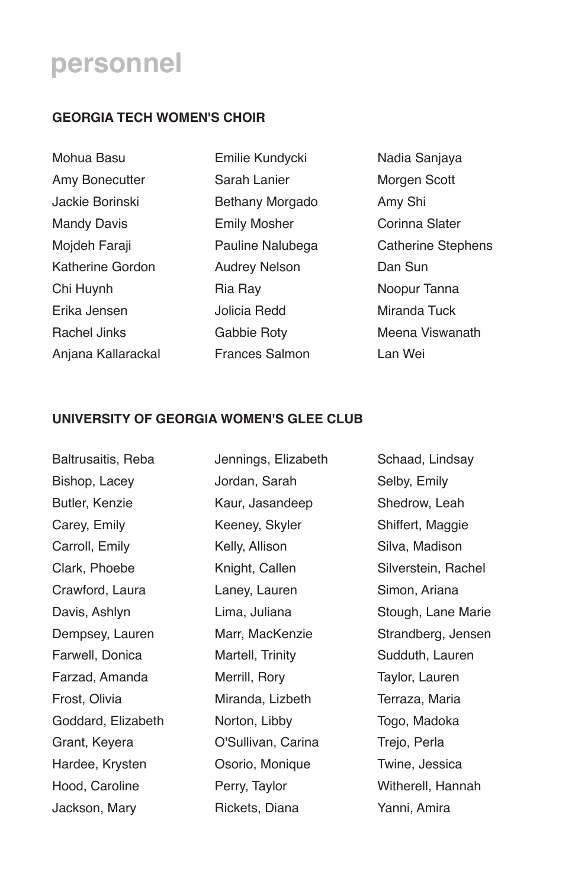### **personnel**

#### **GEORGIA TECH WOMEN'S CHOIR**

Mohua Basu Amy Bonecutter Jackie Borinski Mandy Davis Mojdeh Faraji Katherine Gordon Chi Huynh Erika Jensen Rachel Jinks Anjana Kallarackal

Emilie Kundycki Sarah Lanier Bethany Morgado Emily Mosher Pauline Nalubega Audrey Nelson Ria Ray Jolicia Redd Gabbie Roty Frances Salmon

Nadia Sanjaya Morgen Scott Amy Shi Corinna Slater Catherine Stephens Dan Sun Noopur Tanna Miranda Tuck Meena Viswanath Lan Wei

#### **UNIVERSITY OF GEORGIA WOMEN'S GLEE CLUB**

Baltrusaitis, Reba Bishop, Lacey Butler, Kenzie Carey, Emily Carroll, Emily Clark, Phoebe Crawford, Laura Davis, Ashlyn Dempsey, Lauren Farwell, Donica Farzad, Amanda Frost, Olivia Goddard, Elizabeth Grant, Keyera Hardee, Krysten Hood, Caroline Jackson, Mary

Jennings, Elizabeth Jordan, Sarah Kaur, Jasandeep Keeney, Skyler Kelly, Allison Knight, Callen Laney, Lauren Lima, Juliana Marr, MacKenzie Martell, Trinity Merrill, Rory Miranda, Lizbeth Norton, Libby O'Sullivan, Carina Osorio, Monique Perry, Taylor Rickets, Diana

Schaad, Lindsay Selby, Emily Shedrow, Leah Shiffert, Maggie Silva, Madison Silverstein, Rachel Simon, Ariana Stough, Lane Marie Strandberg, Jensen Sudduth, Lauren Taylor, Lauren Terraza, Maria Togo, Madoka Trejo, Perla Twine, Jessica Witherell, Hannah Yanni, Amira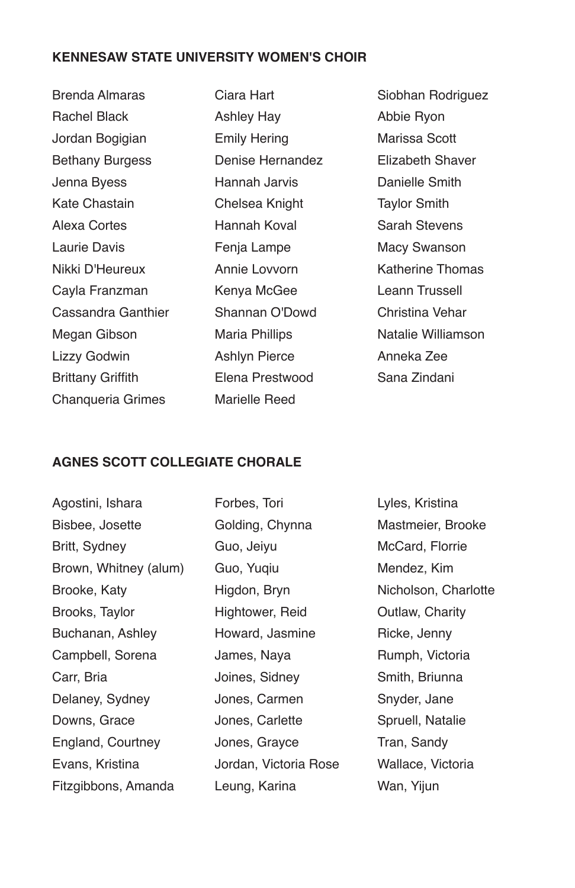#### **KENNESAW STATE UNIVERSITY WOMEN'S CHOIR**

Brenda Almaras Rachel Black Jordan Bogigian Bethany Burgess Jenna Byess Kate Chastain Alexa Cortes Laurie Davis Nikki D'Heureux Cayla Franzman Cassandra Ganthier Megan Gibson Lizzy Godwin Brittany Griffith Chanqueria Grimes

Ciara Hart Ashley Hay Emily Hering Denise Hernandez Hannah Jarvis Chelsea Knight Hannah Koval Fenja Lampe Annie Lovvorn Kenya McGee Shannan O'Dowd Maria Phillips Ashlyn Pierce Elena Prestwood Marielle Reed

Siobhan Rodriguez Abbie Ryon Marissa Scott Elizabeth Shaver Danielle Smith Taylor Smith Sarah Stevens Macy Swanson Katherine Thomas Leann Trussell Christina Vehar Natalie Williamson Anneka Zee Sana Zindani

#### **AGNES SCOTT COLLEGIATE CHORALE**

Agostini, Ishara Bisbee, Josette Britt, Sydney Brown, Whitney (alum) Brooke, Katy Brooks, Taylor Buchanan, Ashley Campbell, Sorena Carr, Bria Delaney, Sydney Downs, Grace England, Courtney Evans, Kristina Fitzgibbons, Amanda

Forbes, Tori Golding, Chynna Guo, Jeiyu Guo, Yuqiu Higdon, Bryn Hightower, Reid Howard, Jasmine James, Naya Joines, Sidney Jones, Carmen Jones, Carlette Jones, Grayce Jordan, Victoria Rose Leung, Karina

Lyles, Kristina Mastmeier, Brooke McCard, Florrie Mendez, Kim Nicholson, Charlotte Outlaw, Charity Ricke, Jenny Rumph, Victoria Smith, Briunna Snyder, Jane Spruell, Natalie Tran, Sandy Wallace, Victoria Wan, Yiiun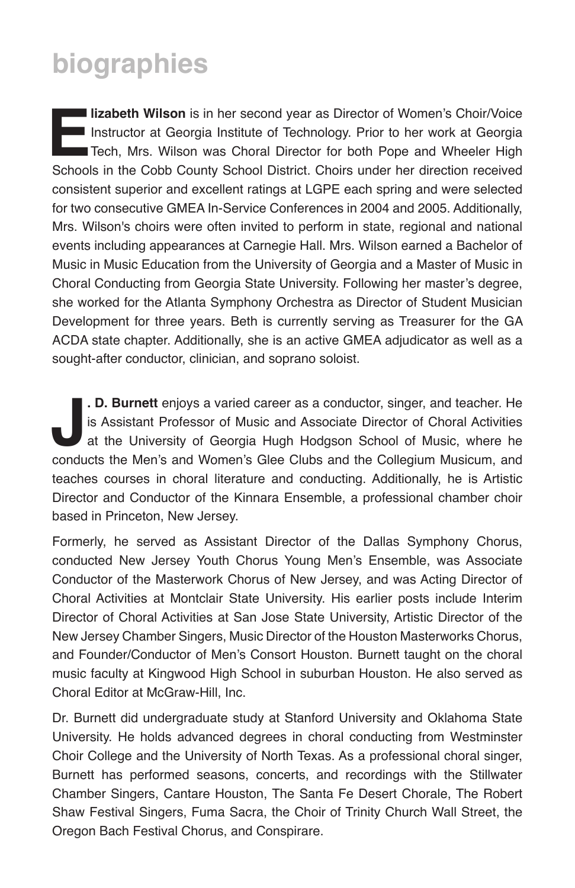# **biographies**

**Elizabeth Wilson** is in her second year as Director of Women's Choir/Voice<br>Instructor at Georgia Institute of Technology. Prior to her work at Georgia<br>Tech, Mrs. Wilson was Choral Director for both Pope and Wheeler High<br>S Instructor at Georgia Institute of Technology. Prior to her work at Georgia Tech, Mrs. Wilson was Choral Director for both Pope and Wheeler High Schools in the Cobb County School District. Choirs under her direction received consistent superior and excellent ratings at LGPE each spring and were selected for two consecutive GMEA In-Service Conferences in 2004 and 2005. Additionally, Mrs. Wilson's choirs were often invited to perform in state, regional and national events including appearances at Carnegie Hall. Mrs. Wilson earned a Bachelor of Music in Music Education from the University of Georgia and a Master of Music in Choral Conducting from Georgia State University. Following her master's degree, she worked for the Atlanta Symphony Orchestra as Director of Student Musician Development for three years. Beth is currently serving as Treasurer for the GA ACDA state chapter. Additionally, she is an active GMEA adjudicator as well as a sought-after conductor, clinician, and soprano soloist.

**Journal Exercise School of Music and Associate Director of Choral Activities** at the University of Georgia Hugh Hodgson School of Music, where he conducts the Men's and Women's Glee Clubs and the Collegium Musicum, and **. D. Burnett** enjoys a varied career as a conductor, singer, and teacher. He is Assistant Professor of Music and Associate Director of Choral Activities at the University of Georgia Hugh Hodgson School of Music, where he teaches courses in choral literature and conducting. Additionally, he is Artistic Director and Conductor of the Kinnara Ensemble, a professional chamber choir based in Princeton, New Jersey.

Formerly, he served as Assistant Director of the Dallas Symphony Chorus, conducted New Jersey Youth Chorus Young Men's Ensemble, was Associate Conductor of the Masterwork Chorus of New Jersey, and was Acting Director of Choral Activities at Montclair State University. His earlier posts include Interim Director of Choral Activities at San Jose State University, Artistic Director of the New Jersey Chamber Singers, Music Director of the Houston Masterworks Chorus, and Founder/Conductor of Men's Consort Houston. Burnett taught on the choral music faculty at Kingwood High School in suburban Houston. He also served as Choral Editor at McGraw-Hill, Inc.

Dr. Burnett did undergraduate study at Stanford University and Oklahoma State University. He holds advanced degrees in choral conducting from Westminster Choir College and the University of North Texas. As a professional choral singer, Burnett has performed seasons, concerts, and recordings with the Stillwater Chamber Singers, Cantare Houston, The Santa Fe Desert Chorale, The Robert Shaw Festival Singers, Fuma Sacra, the Choir of Trinity Church Wall Street, the Oregon Bach Festival Chorus, and Conspirare.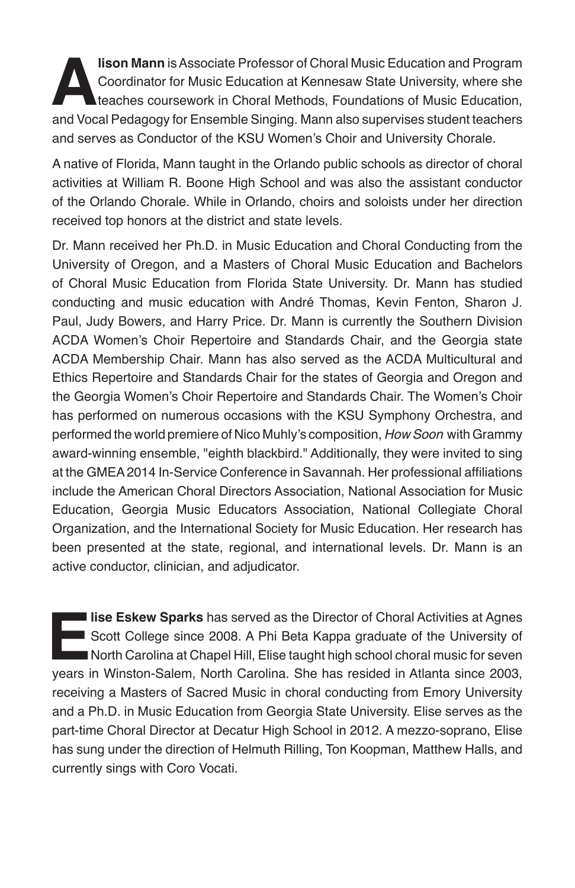**Alison Mann** is Associate Professor of Choral Music Education and Program<br>Coordinator for Music Education at Kennesaw State University, where she<br>teaches coursework in Choral Methods, Foundations of Music Education,<br>and V Coordinator for Music Education at Kennesaw State University, where she teaches coursework in Choral Methods, Foundations of Music Education, and Vocal Pedagogy for Ensemble Singing. Mann also supervises student teachers and serves as Conductor of the KSU Women's Choir and University Chorale.

A native of Florida, Mann taught in the Orlando public schools as director of choral activities at William R. Boone High School and was also the assistant conductor of the Orlando Chorale. While in Orlando, choirs and soloists under her direction received top honors at the district and state levels.

Dr. Mann received her Ph.D. in Music Education and Choral Conducting from the University of Oregon, and a Masters of Choral Music Education and Bachelors of Choral Music Education from Florida State University. Dr. Mann has studied conducting and music education with André Thomas, Kevin Fenton, Sharon J. Paul, Judy Bowers, and Harry Price. Dr. Mann is currently the Southern Division ACDA Women's Choir Repertoire and Standards Chair, and the Georgia state ACDA Membership Chair. Mann has also served as the ACDA Multicultural and Ethics Repertoire and Standards Chair for the states of Georgia and Oregon and the Georgia Women's Choir Repertoire and Standards Chair. The Women's Choir has performed on numerous occasions with the KSU Symphony Orchestra, and performed the world premiere of Nico Muhly's composition, *How Soon* with Grammy award-winning ensemble, "eighth blackbird." Additionally, they were invited to sing at the GMEA 2014 In-Service Conference in Savannah. Her professional affiliations include the American Choral Directors Association, National Association for Music Education, Georgia Music Educators Association, National Collegiate Choral Organization, and the International Society for Music Education. Her research has been presented at the state, regional, and international levels. Dr. Mann is an active conductor, clinician, and adjudicator.

**Elise Eskew Sparks** has served as the Director of Choral Activities at Agnes<br>
Scott College since 2008. A Phi Beta Kappa graduate of the University of<br>
North Carolina at Chapel Hill, Elise taught high school choral music Scott College since 2008. A Phi Beta Kappa graduate of the University of North Carolina at Chapel Hill, Elise taught high school choral music for seven years in Winston-Salem, North Carolina. She has resided in Atlanta since 2003, receiving a Masters of Sacred Music in choral conducting from Emory University and a Ph.D. in Music Education from Georgia State University. Elise serves as the part-time Choral Director at Decatur High School in 2012. A mezzo-soprano, Elise has sung under the direction of Helmuth Rilling, Ton Koopman, Matthew Halls, and currently sings with Coro Vocati.